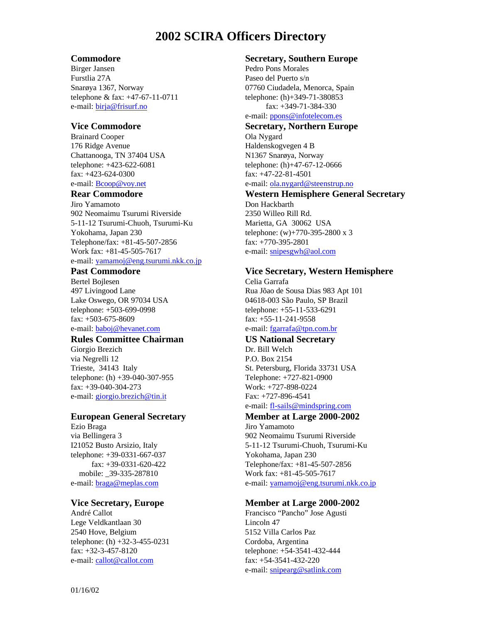# **2002 SCIRA Officers Directory**

#### **Commodore**

Birger Jansen Furstlia 27A Snarøya 1367, Norway telephone & fax: +47-67-11-0711 e-mail: birja@frisurf.no

#### **Vice Commodore**

Brainard Cooper 176 Ridge Avenue Chattanooga, TN 37404 USA telephone: +423-622-6081 fax: +423-624-0300 e-mail: Bcoop@voy.net

#### **Rear Commodore**

Jiro Yamamoto 902 Neomaimu Tsurumi Riverside 5-11-12 Tsurumi-Chuoh, Tsurumi-Ku Yokohama, Japan 230 Telephone/fax: +81-45-507-2856 Work fax: +81-45-505-7617 e-mail: yamamoj@eng.tsurumi.nkk.co.jp

#### **Past Commodore**

Bertel Bojlesen 497 Livingood Lane Lake Oswego, OR 97034 USA telephone: +503-699-0998 fax: +503-675-8609 e-mail: **baboj@hevanet.com** 

#### **Rules Committee Chairman**

Giorgio Brezich via Negrelli 12 Trieste, 34143 Italy telephone: (h) +39-040-307-955 fax: +39-040-304-273 e-mail: giorgio.brezich@tin.it

#### **European General Secretary**

Ezio Braga via Bellingera 3 I21052 Busto Arsizio, Italy telephone: +39-0331-667-037 fax: +39-0331-620-422 mobile: 39-335-287810 e-mail: braga@meplas.com

#### **Vice Secretary, Europe**

André Callot Lege Veldkantlaan 30 2540 Hove, Belgium telephone: (h) +32-3-455-0231 fax: +32-3-457-8120 e-mail: callot@callot.com

#### **Secretary, Southern Europe**

Pedro Pons Morales Paseo del Puerto s/n 07760 Ciudadela, Menorca, Spain telephone: (h)+349-71-380853 fax: +349-71-384-330 e-mail: ppons@infotelecom.es

**Secretary, Northern Europe** Ola Nygard Haldenskogvegen 4 B N1367 Snarøya, Norway telephone: (h)+47-67-12-0666 fax: +47-22-81-4501 e-mail: ola.nygard@steenstrup.no

#### **Western Hemisphere General Secretary**

Don Hackbarth 2350 Willeo Rill Rd. Marietta, GA 30062 USA telephone: (w)+770-395-2800 x 3 fax: +770-395-2801 e-mail: snipesgwh@aol.com

#### **Vice Secretary, Western Hemisphere**

Celia Garrafa Rua Jõao de Sousa Dias 983 Apt 101 04618-003 São Paulo, SP Brazil telephone: +55-11-533-6291 fax: +55-11-241-9558 e-mail: fgarrafa@tpn.com.br

### **US National Secretary**

Dr. Bill Welch P.O. Box 2154 St. Petersburg, Florida 33731 USA Telephone: +727-821-0900 Work: +727-898-0224 Fax: +727-896-4541 e-mail: fl-sails@mindspring.com

## **Member at Large 2000-2002**

Jiro Yamamoto 902 Neomaimu Tsurumi Riverside 5-11-12 Tsurumi-Chuoh, Tsurumi-Ku Yokohama, Japan 230 Telephone/fax: +81-45-507-2856 Work fax: +81-45-505-7617 e-mail: yamamoj@eng.tsurumi.nkk.co.jp

#### **Member at Large 2000-2002**

Francisco "Pancho" Jose Agusti Lincoln 47 5152 Villa Carlos Paz Cordoba, Argentina telephone: +54-3541-432-444 fax: +54-3541-432-220 e-mail: snipearg@satlink.com